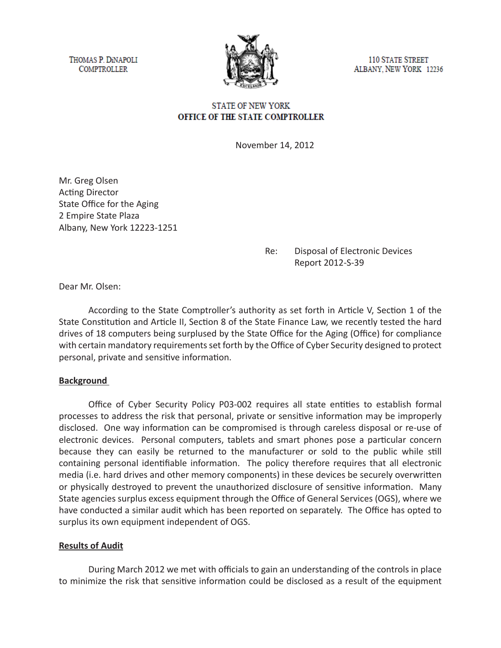THOMAS P. DINAPOLI **COMPTROLLER** 



**110 STATE STREET** ALBANY, NEW YORK 12236

### **STATE OF NEW YORK** OFFICE OF THE STATE COMPTROLLER

November 14, 2012

Mr. Greg Olsen Acting Director State Office for the Aging 2 Empire State Plaza Albany, New York 12223-1251

## Re: Disposal of Electronic Devices Report 2012-S-39

Dear Mr. Olsen:

According to the State Comptroller's authority as set forth in Article V, Section 1 of the State Constitution and Article II, Section 8 of the State Finance Law, we recently tested the hard drives of 18 computers being surplused by the State Office for the Aging (Office) for compliance with certain mandatory requirements set forth by the Office of Cyber Security designed to protect personal, private and sensitive information.

### **Background**

Office of Cyber Security Policy P03-002 requires all state entities to establish formal processes to address the risk that personal, private or sensitive information may be improperly disclosed. One way information can be compromised is through careless disposal or re-use of electronic devices. Personal computers, tablets and smart phones pose a particular concern because they can easily be returned to the manufacturer or sold to the public while still containing personal identifiable information. The policy therefore requires that all electronic media (i.e. hard drives and other memory components) in these devices be securely overwritten or physically destroyed to prevent the unauthorized disclosure of sensitive information. Many State agencies surplus excess equipment through the Office of General Services (OGS), where we have conducted a similar audit which has been reported on separately. The Office has opted to surplus its own equipment independent of OGS.

### **Results of Audit**

During March 2012 we met with officials to gain an understanding of the controls in place to minimize the risk that sensitive information could be disclosed as a result of the equipment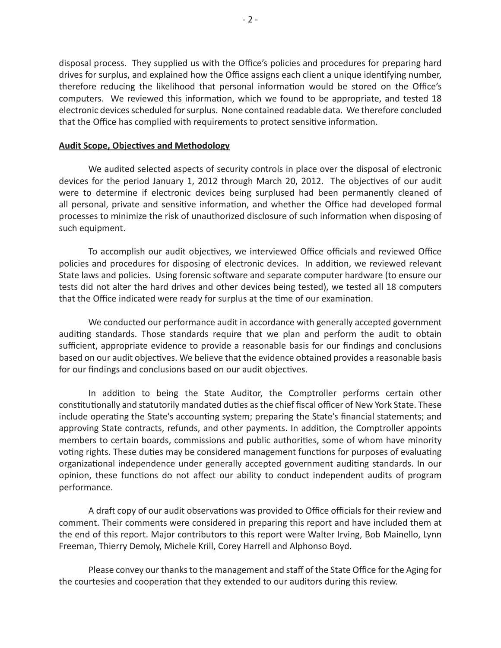disposal process. They supplied us with the Office's policies and procedures for preparing hard drives for surplus, and explained how the Office assigns each client a unique identifying number, therefore reducing the likelihood that personal information would be stored on the Office's computers. We reviewed this information, which we found to be appropriate, and tested 18 electronic devices scheduled for surplus. None contained readable data. We therefore concluded that the Office has complied with requirements to protect sensitive information.

#### **Audit Scope, Objectives and Methodology**

We audited selected aspects of security controls in place over the disposal of electronic devices for the period January 1, 2012 through March 20, 2012. The objectives of our audit were to determine if electronic devices being surplused had been permanently cleaned of all personal, private and sensitive information, and whether the Office had developed formal processes to minimize the risk of unauthorized disclosure of such information when disposing of such equipment.

To accomplish our audit objectives, we interviewed Office officials and reviewed Office policies and procedures for disposing of electronic devices. In addition, we reviewed relevant State laws and policies. Using forensic software and separate computer hardware (to ensure our tests did not alter the hard drives and other devices being tested), we tested all 18 computers that the Office indicated were ready for surplus at the time of our examination.

We conducted our performance audit in accordance with generally accepted government auditing standards. Those standards require that we plan and perform the audit to obtain sufficient, appropriate evidence to provide a reasonable basis for our findings and conclusions based on our audit objectives. We believe that the evidence obtained provides a reasonable basis for our findings and conclusions based on our audit objectives.

In addition to being the State Auditor, the Comptroller performs certain other constitutionally and statutorily mandated duties as the chief fiscal officer of New York State. These include operating the State's accounting system; preparing the State's financial statements; and approving State contracts, refunds, and other payments. In addition, the Comptroller appoints members to certain boards, commissions and public authorities, some of whom have minority voting rights. These duties may be considered management functions for purposes of evaluating organizational independence under generally accepted government auditing standards. In our opinion, these functions do not affect our ability to conduct independent audits of program performance.

A draft copy of our audit observations was provided to Office officials for their review and comment. Their comments were considered in preparing this report and have included them at the end of this report. Major contributors to this report were Walter Irving, Bob Mainello, Lynn Freeman, Thierry Demoly, Michele Krill, Corey Harrell and Alphonso Boyd.

Please convey our thanks to the management and staff of the State Office for the Aging for the courtesies and cooperation that they extended to our auditors during this review.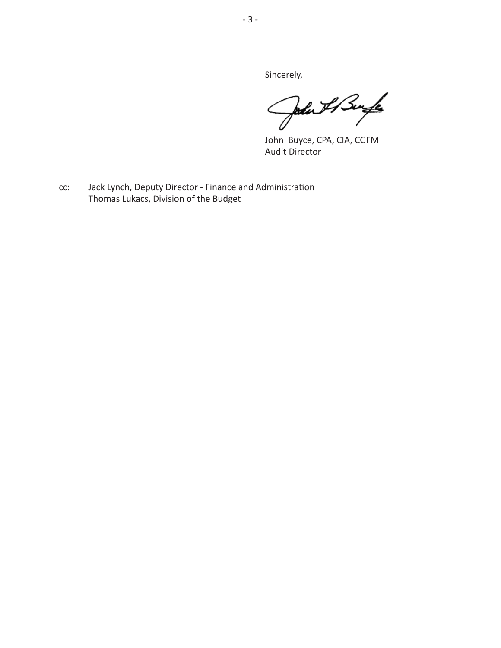Sincerely,

John Il Burgle

John Buyce, CPA, CIA, CGFM Audit Director

cc: Jack Lynch, Deputy Director - Finance and Administration Thomas Lukacs, Division of the Budget